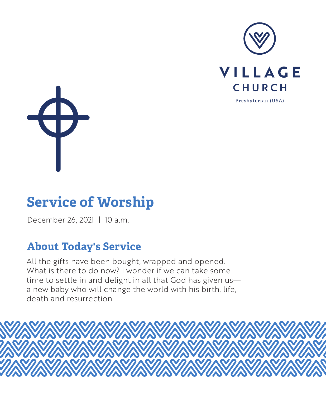



# **Service of Worship**

December 26, 2021 | 10 a.m.

# **About Today's Service**

All the gifts have been bought, wrapped and opened. What is there to do now? I wonder if we can take some time to settle in and delight in all that God has given us a new baby who will change the world with his birth, life, death and resurrection.

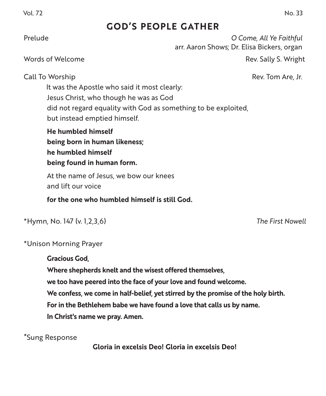# **GOD'S PEOPLE GATHER**

Prelude *O Come, All Ye Faithful*  arr. Aaron Shows; Dr. Elisa Bickers, organ

Words of Welcome Rev. Sally S. Wright

Call To Worship Rev. Tom Are, Jr. (1999) 2014 12:30 Area and March 2014 12:30 Area and March 2014 12:30 Area and March 2014 12:30 Area and March 2014 12:30 Area and March 2014 12:30 Area and March 2014 12:30 Area and March

It was the Apostle who said it most clearly: Jesus Christ, who though he was as God did not regard equality with God as something to be exploited, but instead emptied himself.

**He humbled himself being born in human likeness; he humbled himself being found in human form.**

At the name of Jesus, we bow our knees and lift our voice

**for the one who humbled himself is still God.**

\*Hymn, No. 147 (v. 1,2,3,6) *The First Nowell*

\*Unison Morning Prayer

**Gracious God,**

**Where shepherds knelt and the wisest offered themselves,**

**we too have peered into the face of your love and found welcome.**

**We confess, we come in half-belief, yet stirred by the promise of the holy birth.**

**For in the Bethlehem babe we have found a love that calls us by name.** 

**In Christ's name we pray. Amen.**

\*Sung Response

**Gloria in excelsis Deo! Gloria in excelsis Deo!**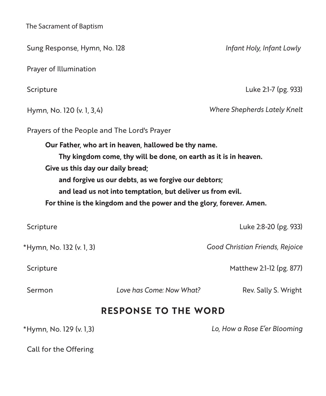| The Sacrament of Baptism                                                                                                                                                                                                                                                                            |                          |                                     |
|-----------------------------------------------------------------------------------------------------------------------------------------------------------------------------------------------------------------------------------------------------------------------------------------------------|--------------------------|-------------------------------------|
| Sung Response, Hymn, No. 128                                                                                                                                                                                                                                                                        |                          | Infant Holy, Infant Lowly           |
| Prayer of Illumination                                                                                                                                                                                                                                                                              |                          |                                     |
| Scripture                                                                                                                                                                                                                                                                                           |                          | Luke 2:1-7 (pg. 933)                |
| Hymn, No. 120 (v. 1, 3,4)                                                                                                                                                                                                                                                                           |                          | <b>Where Shepherds Lately Knelt</b> |
| Prayers of the People and The Lord's Prayer                                                                                                                                                                                                                                                         |                          |                                     |
| Thy kingdom come, thy will be done, on earth as it is in heaven.<br>Give us this day our daily bread;<br>and forgive us our debts, as we forgive our debtors;<br>and lead us not into temptation, but deliver us from evil.<br>For thine is the kingdom and the power and the glory, forever. Amen. |                          |                                     |
| Scripture                                                                                                                                                                                                                                                                                           |                          | Luke 2:8-20 (pg. 933)               |
| *Hymn, No. 132 (v. 1, 3)                                                                                                                                                                                                                                                                            |                          | Good Christian Friends, Rejoice     |
| Scripture                                                                                                                                                                                                                                                                                           |                          | Matthew 2:1-12 (pg. 877)            |
| Sermon                                                                                                                                                                                                                                                                                              | Love has Come: Now What? | Rev. Sally S. Wright                |
| <b>RESPONSE TO THE WORD</b>                                                                                                                                                                                                                                                                         |                          |                                     |
| *Hymn, No. 129 (v. 1,3)                                                                                                                                                                                                                                                                             |                          | Lo, How a Rose E'er Blooming        |
| Call for the Offering                                                                                                                                                                                                                                                                               |                          |                                     |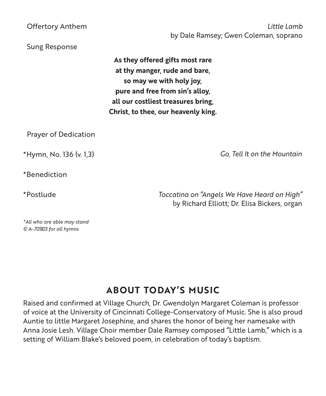Offertory Anthem *Little Lamb* by Dale Ramsey; Gwen Coleman, soprano

Sung Response

**As they offered gifts most rare at thy manger, rude and bare, so may we with holy joy, pure and free from sin's alloy, all our costliest treasures bring, Christ, to thee, our heavenly king.**

Prayer of Dedication

\*Hymn, No. 136 (v. 1,3) *Go, Tell It on the Mountain*

\*Benediction

\*Postlude *Toccatina on "Angels We Have Heard on High"* by Richard Elliott; Dr. Elisa Bickers, organ

*\*All who are able may stand © A-705103 for all hymns*

# **ABOUT TODAY'S MUSIC**

Raised and confirmed at Village Church, Dr. Gwendolyn Margaret Coleman is professor of voice at the University of Cincinnati College-Conservatory of Music. She is also proud Auntie to little Margaret Josephine, and shares the honor of being her namesake with Anna Josie Lesh. Village Choir member Dale Ramsey composed "Little Lamb," which is a setting of William Blake's beloved poem, in celebration of today's baptism.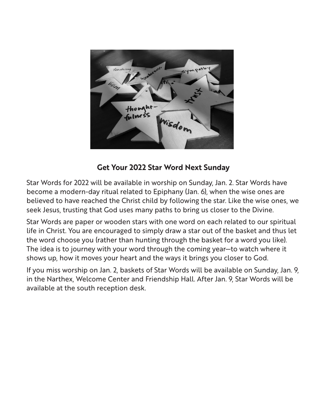

**Get Your 2022 Star Word Next Sunday**

Star Words for 2022 will be available in worship on Sunday, Jan. 2. Star Words have become a modern-day ritual related to Epiphany (Jan. 6), when the wise ones are believed to have reached the Christ child by following the star. Like the wise ones, we seek Jesus, trusting that God uses many paths to bring us closer to the Divine.

Star Words are paper or wooden stars with one word on each related to our spiritual life in Christ. You are encouraged to simply draw a star out of the basket and thus let the word choose you (rather than hunting through the basket for a word you like). The idea is to journey with your word through the coming year—to watch where it shows up, how it moves your heart and the ways it brings you closer to God.

If you miss worship on Jan. 2, baskets of Star Words will be available on Sunday, Jan. 9, in the Narthex, Welcome Center and Friendship Hall. After Jan. 9, Star Words will be available at the south reception desk.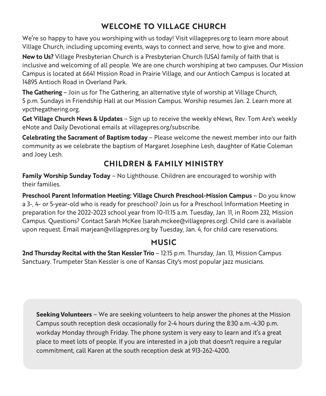# **WELCOME TO VILLAGE CHURCH**

We're so happy to have you worshiping with us today! Visit villagepres.org to learn more about Village Church, including upcoming events, ways to connect and serve, how to give and more.

**New to Us?** Village Presbyterian Church is a Presbyterian Church (USA) family of faith that is inclusive and welcoming of all people. We are one church worshiping at two campuses. Our Mission Campus is located at 6641 Mission Road in Prairie Village, and our Antioch Campus is located at 14895 Antioch Road in Overland Park.

**The Gathering** – Join us for The Gathering, an alternative style of worship at Village Church, 5 p.m. Sundays in Friendship Hall at our Mission Campus. Worship resumes Jan. 2. Learn more at vpcthegathering.org.

**Get Village Church News & Updates** – Sign up to receive the weekly eNews, Rev. Tom Are's weekly eNote and Daily Devotional emails at villagepres.org/subscribe.

**Celebrating the Sacrament of Baptism today** – Please welcome the newest member into our faith community as we celebrate the baptism of Margaret Josephine Lesh, daughter of Katie Coleman and Joey Lesh.

### **CHILDREN & FAMILY MINISTRY**

**Family Worship Sunday Today** – No Lighthouse. Children are encouraged to worship with their families.

**Preschool Parent Information Meeting: Village Church Preschool-Mission Campus** – Do you know a 3-, 4- or 5-year-old who is ready for preschool? Join us for a Preschool Information Meeting in preparation for the 2022-2023 school year from 10-11:15 a.m. Tuesday, Jan. 11, in Room 232, Mission Campus. Questions? Contact Sarah McKee (sarah.mckee@villagepres.org). Child care is available upon request. Email marjean@villagepres.org by Tuesday, Jan. 4, for child care reservations.

#### **MUSIC**

**2nd Thursday Recital with the Stan Kessler Trio** – 12:15 p.m. Thursday, Jan. 13, Mission Campus Sanctuary. Trumpeter Stan Kessler is one of Kansas City's most popular jazz musicians.

**Seeking Volunteers** – We are seeking volunteers to help answer the phones at the Mission Campus south reception desk occasionally for 2-4 hours during the 8:30 a.m.-4:30 p.m. workday Monday through Friday. The phone system is very easy to learn and it's a great place to meet lots of people. If you are interested in a job that doesn't require a regular commitment, call Karen at the south reception desk at 913-262-4200.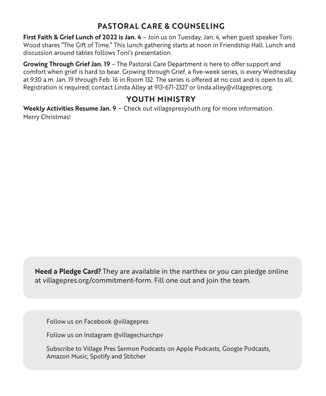#### **PASTORAL CARE & COUNSELING**

**First Faith & Grief Lunch of 2022 is Jan. 4** – Join us on Tuesday, Jan. 4, when guest speaker Toni Wood shares "The Gift of Time." This lunch gathering starts at noon in Friendship Hall. Lunch and discussion around tables follows Toni's presentation.

**Growing Through Grief Jan. 19** – The Pastoral Care Department is here to offer support and comfort when grief is hard to bear. Growing through Grief, a five-week series, is every Wednesday at 9:30 a.m. Jan. 19 through Feb. 16 in Room 132. The series is offered at no cost and is open to all. Registration is required; contact Linda Alley at 913-671-2327 or linda.alley@villagepres.org.

#### **YOUTH MINISTRY**

**Weekly Activities Resume Jan. 9** – Check out villagepresyouth.org for more information. Merry Christmas!

**Need a Pledge Card?** They are available in the narthex or you can pledge online at villagepres.org/commitment-form. Fill one out and join the team.

Follow us on Facebook @villagepres

Follow us on Instagram @villagechurchpv

Subscribe to Village Pres Sermon Podcasts on Apple Podcasts, Google Podcasts, Amazon Music, Spotify and Stitcher